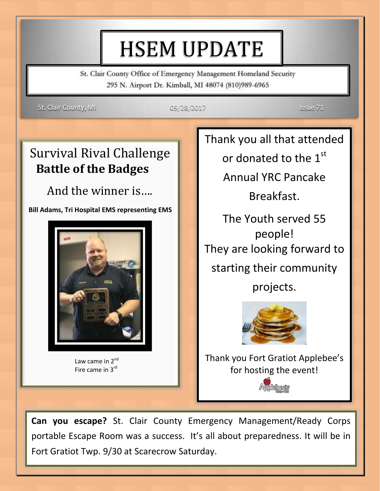# HSEM UPDATE

St. Clair County Office of Emergency Management Homeland Security 295 N. Airport Dr. Kimball, MI 48074 (810)989-6965

St. Clair County, MI 09/28/2017 Issue 71

## Survival Rival Challenge **Battle of the Badges**

And the winner is….

 **Bill Adams, Tri Hospital EMS representing EMS**



**Law came in 2<sup>nd</sup>** Fire came in 3rd

i

Thank you all that attended

or donated to the  $1<sup>st</sup>$ 

Annual YRC Pancake

Breakfast.

The Youth served 55 people! They are looking forward to starting their community projects.



Thank you Fort Gratiot Applebee's for hosting the event!

Andebeck

**Can you escape?** St. Clair County Emergency Management/Ready Corps portable Escape Room was a success. It's all about preparedness. It will be in Fort Gratiot Twp. 9/30 at Scarecrow Saturday.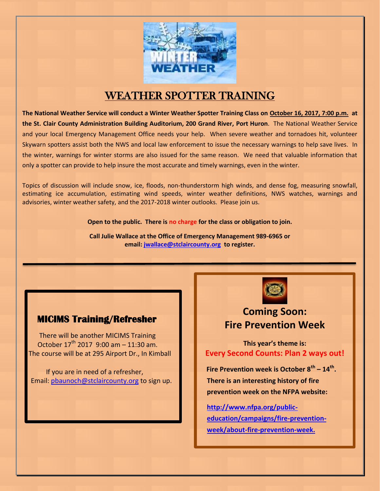

### WEATHER SPOTTER TRAINING

**The National Weather Service will conduct a Winter Weather Spotter Training Class on October 16, 2017, 7:00 p.m. at the St. Clair County Administration Building Auditorium, 200 Grand River, Port Huron**. The National Weather Service and your local Emergency Management Office needs your help. When severe weather and tornadoes hit, volunteer Skywarn spotters assist both the NWS and local law enforcement to issue the necessary warnings to help save lives. In the winter, warnings for winter storms are also issued for the same reason. We need that valuable information that only a spotter can provide to help insure the most accurate and timely warnings, even in the winter.

Topics of discussion will include snow, ice, floods, non-thunderstorm high winds, and dense fog, measuring snowfall, estimating ice accumulation, estimating wind speeds, winter weather definitions, NWS watches, warnings and advisories, winter weather safety, and the 2017-2018 winter outlooks. Please join us.

**Open to the public. There is no charge for the class or obligation to join.**

**Call Julie Wallace at the Office of Emergency Management 989-6965 or email: [jwallace@stclaircounty.org](mailto:jwallace@stclaircounty.org) to register.**

#### **MICIMS Training/Refresher**

 There will be another MICIMS Training October  $17^{th}$  2017 9:00 am - 11:30 am. The course will be at 295 Airport Dr., In Kimball

 If you are in need of a refresher, Email: [pbaunoch@stclaircounty.org](mailto:pbaunoch@stclaircounty.org) to sign up.



#### **Coming Soon: Fire Prevention Week**

**This year's theme is: Every Second Counts: Plan 2 ways out!**

 **Fire Prevention week is October 8th – 14th . There is an interesting history of fire prevention week on the NFPA website:** 

**[http://www.nfpa.org/public](http://www.nfpa.org/public-education/campaigns/fire-prevention-week/about-fire-prevention-week.)[education/campaigns/fire-prevention](http://www.nfpa.org/public-education/campaigns/fire-prevention-week/about-fire-prevention-week.)[week/about-fire-prevention-week.](http://www.nfpa.org/public-education/campaigns/fire-prevention-week/about-fire-prevention-week.)**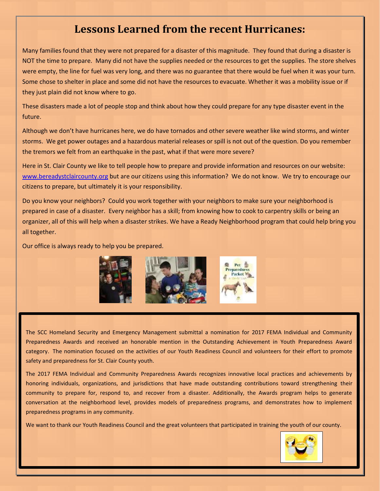#### **Lessons Learned from the recent Hurricanes:**

Many families found that they were not prepared for a disaster of this magnitude. They found that during a disaster is NOT the time to prepare. Many did not have the supplies needed or the resources to get the supplies. The store shelves were empty, the line for fuel was very long, and there was no guarantee that there would be fuel when it was your turn. Some chose to shelter in place and some did not have the resources to evacuate. Whether it was a mobility issue or if they just plain did not know where to go.

These disasters made a lot of people stop and think about how they could prepare for any type disaster event in the future.

Although we don't have hurricanes here, we do have tornados and other severe weather like wind storms, and winter storms. We get power outages and a hazardous material releases or spill is not out of the question. Do you remember the tremors we felt from an earthquake in the past, what if that were more severe?

Here in St. Clair County we like to tell people how to prepare and provide information and resources on our website: [www.bereadystclaircounty.org](http://www.bereadystclaircounty.org/) but are our citizens using this information? We do not know. We try to encourage our citizens to prepare, but ultimately it is your responsibility.

Do you know your neighbors? Could you work together with your neighbors to make sure your neighborhood is prepared in case of a disaster. Every neighbor has a skill; from knowing how to cook to carpentry skills or being an organizer, all of this will help when a disaster strikes. We have a Ready Neighborhood program that could help bring you all together.

Our office is always ready to help you be prepared.



The SCC Homeland Security and Emergency Management submittal a nomination for 2017 FEMA Individual and Community Preparedness Awards and received an honorable mention in the Outstanding Achievement in Youth Preparedness Award category. The nomination focused on the activities of our Youth Readiness Council and volunteers for their effort to promote safety and preparedness for St. Clair County youth.

The 2017 FEMA Individual and Community Preparedness Awards recognizes innovative local practices and achievements by honoring individuals, organizations, and jurisdictions that have made outstanding contributions toward strengthening their community to prepare for, respond to, and recover from a disaster. Additionally, the Awards program helps to generate conversation at the neighborhood level, provides models of preparedness programs, and demonstrates how to implement preparedness programs in any community.

We want to thank our Youth Readiness Council and the great volunteers that participated in training the youth of our county.